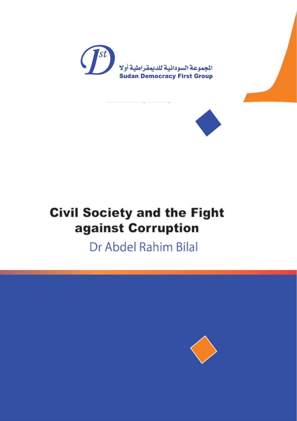



# **Civil Society and the Fight** against Corruption

Dr Abdel Rahim Bilal

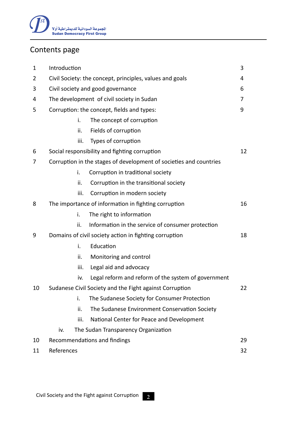

### Contents page

| $\mathbf{1}$ | Introduction                                                       |                                                     | 3  |
|--------------|--------------------------------------------------------------------|-----------------------------------------------------|----|
| 2            | Civil Society: the concept, principles, values and goals           |                                                     | 4  |
| 3            | Civil society and good governance                                  |                                                     | 6  |
| 4            |                                                                    | The development of civil society in Sudan           |    |
| 5            | Corruption: the concept, fields and types:                         |                                                     | 9  |
|              | i.                                                                 | The concept of corruption                           |    |
|              | ii.                                                                | Fields of corruption                                |    |
|              | iii.                                                               | Types of corruption                                 |    |
| 6            |                                                                    | Social responsibility and fighting corruption       |    |
| 7            | Corruption in the stages of development of societies and countries |                                                     |    |
|              | i.                                                                 | Corruption in traditional society                   |    |
|              | ii.                                                                | Corruption in the transitional society              |    |
|              | iii.                                                               | Corruption in modern society                        |    |
| 8            | The importance of information in fighting corruption               |                                                     | 16 |
|              | i.                                                                 | The right to information                            |    |
|              | ii.                                                                | Information in the service of consumer protection   |    |
| 9            | Domains of civil society action in fighting corruption             |                                                     | 18 |
|              | i.                                                                 | Education                                           |    |
|              | ii.                                                                | Monitoring and control                              |    |
|              | iii.                                                               | Legal aid and advocacy                              |    |
|              | iv.                                                                | Legal reform and reform of the system of government |    |
| 10           | Sudanese Civil Society and the Fight against Corruption            |                                                     | 22 |
|              | i.                                                                 | The Sudanese Society for Consumer Protection        |    |
|              | ii.                                                                | The Sudanese Environment Conservation Society       |    |
|              | iii.                                                               | National Center for Peace and Development           |    |
|              | The Sudan Transparency Organization<br>iv.                         |                                                     |    |
| 10           | Recommendations and findings                                       |                                                     | 29 |
| 11           | References                                                         |                                                     | 32 |

2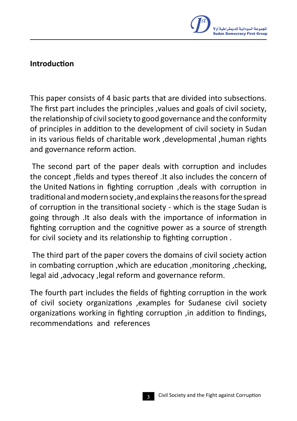

#### **Introduction**

This paper consists of 4 basic parts that are divided into subsections. The first part includes the principles ,values and goals of civil society, the relationship of civil society to good governance and the conformity of principles in addition to the development of civil society in Sudan in its various fields of charitable work ,developmental ,human rights and governance reform action.

The second part of the paper deals with corruption and includes the concept ,fields and types thereof .It also includes the concern of the United Nations in fighting corruption ,deals with corruption in traditional andmodernsociety ,andexplainsthereasonsforthespread of corruption in the transitional society - which is the stage Sudan is going through .It also deals with the importance of information in fighting corruption and the cognitive power as a source of strength for civil society and its relationship to fighting corruption .

The third part of the paper covers the domains of civil society action in combating corruption ,which are education ,monitoring ,checking, legal aid ,advocacy ,legal reform and governance reform.

The fourth part includes the fields of fighting corruption in the work of civil society organizations ,examples for Sudanese civil society organizations working in fighting corruption ,in addition to findings, recommendations and references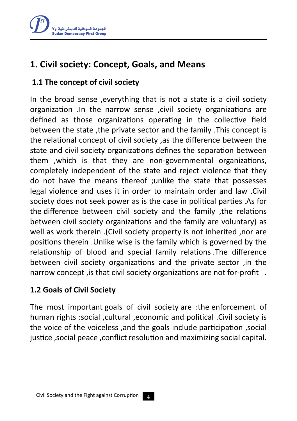

# **1. Civil society: Concept, Goals, and Means**

### **1.1 The concept of civil society**

In the broad sense ,everything that is not a state is a civil society organization .In the narrow sense ,civil society organizations are defined as those organizations operating in the collective field between the state ,the private sector and the family .This concept is the relational concept of civil society ,as the difference between the state and civil society organizations defines the separation between them ,which is that they are non-governmental organizations, completely independent of the state and reject violence that they do not have the means thereof ;unlike the state that possesses legal violence and uses it in order to maintain order and law .Civil society does not seek power as is the case in political parties .As for the difference between civil society and the family ,the relations between civil society organizations and the family are voluntary) as well as work therein .(Civil society property is not inherited ,nor are positions therein .Unlike wise is the family which is governed by the relationship of blood and special family relations .The difference between civil society organizations and the private sector ,in the narrow concept, is that civil society organizations are not for-profit.

### **1.2 Goals of Civil Society**

The most important goals of civil society are :the enforcement of human rights :social ,cultural ,economic and political .Civil society is the voice of the voiceless ,and the goals include participation ,social justice ,social peace ,conflict resolution and maximizing social capital.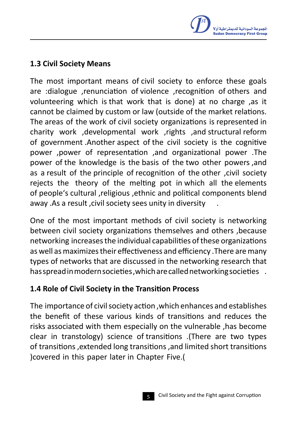

#### **1.3 Civil Society Means**

The most important means of civil society to enforce these goals are :dialogue ,renunciation of violence ,recognition of others and volunteering which is that work that is done) at no charge ,as it cannot be claimed by custom or law (outside of the market relations. The areas of the work of civil society organizations is represented in charity work ,developmental work ,rights ,and structural reform of government .Another aspect of the civil society is the cognitive power ,power of representation ,and organizational power .The power of the knowledge is the basis of the two other powers ,and as a result of the principle of recognition of the other ,civil society rejects the theory of the melting pot in which all the elements of people's cultural ,religious ,ethnic and political components blend away .As a result ,civil society sees unity in diversity .

One of the most important methods of civil society is networking between civil society organizations themselves and others ,because networking increasesthe individual capabilities ofthese organizations as well as maximizes their effectiveness and efficiency . There are many types of networks that are discussed in the networking research that has spread in modern societies , which are called networking societies .

### **1.4 Role of Civil Society in the Transition Process**

The importance of civilsociety action ,which enhances and establishes the benefit of these various kinds of transitions and reduces the risks associated with them especially on the vulnerable ,has become clear in transtology) science of transitions .(There are two types of transitions ,extended long transitions ,and limited short transitions ) covered in this paper later in Chapter Five.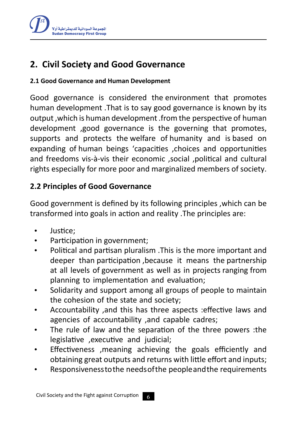

# **2. Civil Society and Good Governance**

#### **2.1 Good Governance and Human Development**

Good governance is considered the environment that promotes human development .That is to say good governance is known by its output ,which is human development .from the perspective of human development ,good governance is the governing that promotes, supports and protects the welfare of humanity and is based on expanding of human beings 'capacities , choices and opportunities and freedoms vis-à-vis their economic ,social ,political and cultural rights especially for more poor and marginalized members of society.

### **2.2 Principles of Good Governance**

Good government is defined by its following principles ,which can be transformed into goals in action and reality .The principles are:

- Justice:
- Participation in government;
- · Political and partisan pluralism .This is the more important and deeper than participation ,because it means the partnership at all levels of government as well as in projects ranging from planning to implementation and evaluation;
- · Solidarity and support among all groups of people to maintain the cohesion of the state and society;
- · Accountability ,and this has three aspects :effective laws and agencies of accountability ,and capable cadres;
- The rule of law and the separation of the three powers :the legislative ,executive and judicial;
- Effectiveness , meaning achieving the goals efficiently and obtaining great outputs and returns with little effort and inputs;
- Responsiveness to the needs of the people and the requirements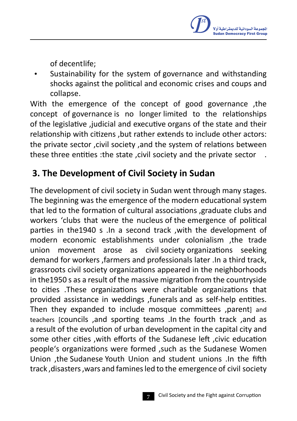of decentlife;

Sustainability for the system of governance and withstanding shocks against the political and economic crises and coups and collapse.

With the emergence of the concept of good governance ,the concept of governance is no longer limited to the relationships of the legislative ,judicial and executive organs of the state and their relationship with citizens ,but rather extends to include other actors: the private sector ,civil society ,and the system of relations between these three entities : the state, civil society and the private sector

# **3. The Development of Civil Society in Sudan**

The development of civil society in Sudan went through many stages. The beginning was the emergence of the modern educational system that led to the formation of cultural associations ,graduate clubs and workers 'clubs that were the nucleus of the emergence of political parties in the1940 s .In a second track ,with the development of modern economic establishments under colonialism ,the trade union movement arose as civil society organizations seeking demand for workers ,farmers and professionals later .In a third track, grassroots civil society organizations appeared in the neighborhoods in the1950 s as a result of the massive migration from the countryside to cities .These organizations were charitable organizations that provided assistance in weddings ,funerals and as self-help entities. Then they expanded to include mosque committees , parent and teachers [councils ,and sporting teams .In the fourth track ,and as a result of the evolution of urban development in the capital city and some other cities ,with efforts of the Sudanese left ,civic education people's organizations were formed ,such as the Sudanese Women Union ,the Sudanese Youth Union and student unions .In the fifth track ,disasters ,wars and faminesled to the emergence of civil society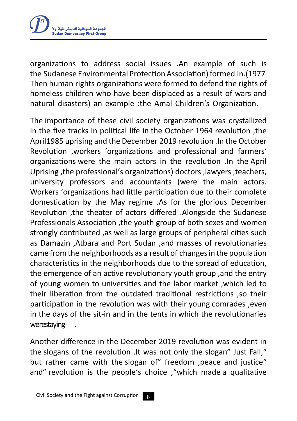

organizations to address social issues .An example of such is the Sudanese Environmental Protection Association) formed in.(1977 Then human rights organizations were formed to defend the rights of homeless children who have been displaced as a result of wars and natural disasters) an example :the Amal Children's Organization.

The importance of these civil society organizations was crystallized in the five tracks in political life in the October 1964 revolution ,the April1985 uprising and the December 2019 revolution .In the October Revolution ,workers 'organizations and professional and farmers' organizations were the main actors in the revolution .In the April Uprising , the professional's organizations) doctors , lawyers , teachers, university professors and accountants (were the main actors. Workers 'organizations had little participation due to their complete domestication by the May regime .As for the glorious December Revolution ,the theater of actors differed .Alongside the Sudanese Professionals Association ,the youth group of both sexes and women strongly contributed ,as well as large groups of peripheral cities such as Damazin ,Atbara and Port Sudan ,and masses of revolutionaries came fromthe neighborhoods as a result of changesin the population characteristics in the neighborhoods due to the spread of education, the emergence of an active revolutionary youth group ,and the entry of young women to universities and the labor market ,which led to their liberation from the outdated traditional restrictions ,so their participation in the revolution was with their young comrades ,even in the days of the sit-in and in the tents in which the revolutionaries werestaying .

Another difference in the December 2019 revolution was evident in the slogans of the revolution .It was not only the slogan" Just Fall," but rather came with the slogan of" freedom , peace and justice" and" revolution is the people's choice ,"which made a qualitative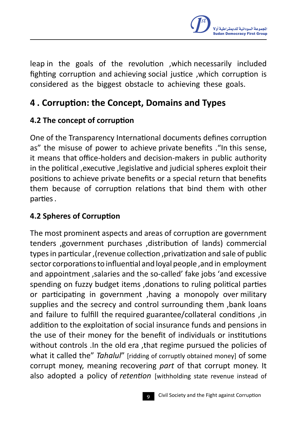

leap in the goals of the revolution ,which necessarily included fighting corruption and achieving social justice ,which corruption is considered as the biggest obstacle to achieving these goals.

# **4 . Corruption: the Concept, Domains and Types**

# **4.2 The concept of corruption**

One of the Transparency International documents defines corruption as" the misuse of power to achieve private benefits ."In this sense, it means that office-holders and decision-makers in public authority in the political ,executive ,legislative and judicial spheres exploit their positions to achieve private benefits or a special return that benefits them because of corruption relations that bind them with other parties.

# **4.2 Spheres of Corruption**

The most prominent aspects and areas of corruption are government tenders , government purchases , distribution of lands) commercial types in particular, (revenue collection, privatization and sale of public sector corporations to influential and loyal people, and in employment and appointment ,salaries and the so-called' fake jobs 'and excessive spending on fuzzy budget items ,donations to ruling political parties or participating in government ,having a monopoly over military supplies and the secrecy and control surrounding them ,bank loans and failure to fulfill the required guarantee/collateral conditions ,in addition to the exploitation of social insurance funds and pensions in the use of their money for the benefit of individuals or institutions without controls .In the old era ,that regime pursued the policies of what it called the" *Tahalul*" [ridding of corruptly obtained money] of some corrupt money, meaning recovering *part* of that corrupt money. It also adopted a policy of *retention* [withholding state revenue instead of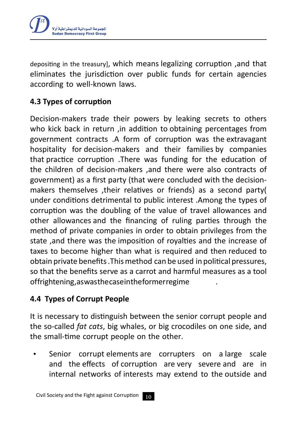

depositing in the treasury], which means legalizing corruption ,and that eliminates the jurisdiction over public funds for certain agencies according to well-known laws.

# **4.3 Types of corruption**

Decision-makers trade their powers by leaking secrets to others who kick back in return ,in addition to obtaining percentages from government contracts .A form of corruption was the extravagant hospitality for decision-makers and their families by companies that practice corruption .There was funding for the education of the children of decision-makers ,and there were also contracts of government) as a first party (that were concluded with the decisionmakers themselves , their relatives or friends) as a second party under conditions detrimental to public interest .Among the types of corruption was the doubling of the value of travel allowances and other allowances and the financing of ruling parties through the method of private companies in order to obtain privileges from the state ,and there was the imposition of royalties and the increase of taxes to become higher than what is required and then reduced to obtain private benefits .Thismethod can be used in political pressures, so that the benefits serve as a carrot and harmful measures as a tool offrightening, as was the case in the former regime

### **4.4 Types of Corrupt People**

It is necessary to distinguish between the senior corrupt people and the so-called *fat cats*, big whales, or big crocodiles on one side, and the small-time corrupt people on the other.

Senior corrupt elements are corrupters on a large scale and the effects of corruption are very severe and are in internal networks of interests may extend to the outside and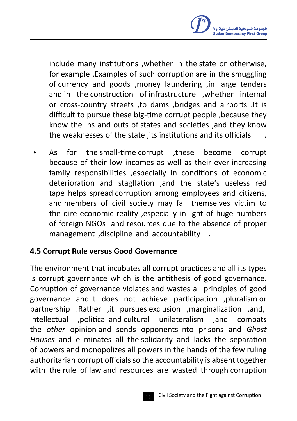

include many institutions ,whether in the state or otherwise, for example .Examples of such corruption are in the smuggling of currency and goods ,money laundering ,in large tenders and in the construction of infrastructure ,whether internal or cross-country streets ,to dams ,bridges and airports .It is difficult to pursue these big-time corrupt people ,because they know the ins and outs of states and societies ,and they know the weaknesses of the state , its institutions and its officials

As for the small-time corrupt , these become corrupt because of their low incomes as well as their ever-increasing family responsibilities ,especially in conditions of economic deterioration and stagflation ,and the state's useless red tape helps spread corruption among employees and citizens, and members of civil society may fall themselves victim to the dire economic reality ,especially in light of huge numbers of foreign NGOs and resources due to the absence of proper management ,discipline and accountability .

#### **4.5 Corrupt Rule versus Good Governance**

The environment that incubates all corrupt practices and all its types is corrupt governance which is the antithesis of good governance. Corruption of governance violates and wastes all principles of good governance and it does not achieve participation ,pluralism or partnership .Rather ,it pursues exclusion ,marginalization ,and, intellectual ,political and cultural unilateralism ,and combats the *other* opinion and sends opponents into prisons and *Ghost Houses* and eliminates all the solidarity and lacks the separation of powers and monopolizes all powers in the hands of the few ruling authoritarian corrupt officials so the accountability is absent together with the rule of law and resources are wasted through corruption

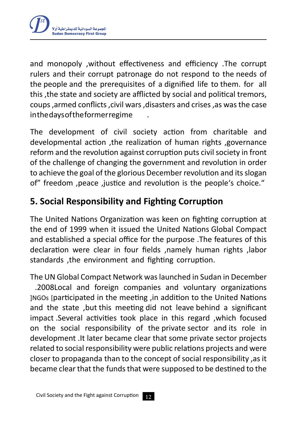

and monopoly ,without effectiveness and efficiency .The corrupt rulers and their corrupt patronage do not respond to the needs of the people and the prerequisites of a dignified life to them. for all this ,the state and society are afflicted by social and political tremors, coups ,armed conflicts ,civil wars ,disasters and crises ,as wasthe case inthedaysoftheformerregime .

The development of civil society action from charitable and developmental action ,the realization of human rights ,governance reform and the revolution against corruption puts civil society in front of the challenge of changing the government and revolution in order to achieve the goal of the glorious December revolution and its slogan of" freedom ,peace ,justice and revolution is the people's choice."

# **5. Social Responsibility and Fighting Corruption**

The United Nations Organization was keen on fighting corruption at the end of 1999 when it issued the United Nations Global Compact and established a special office for the purpose .The features of this declaration were clear in four fields ,namely human rights ,labor standards ,the environment and fighting corruption.

The UN Global Compact Network waslaunched in Sudan in December .2008Local and foreign companies and voluntary organizations INGOs [participated in the meeting, in addition to the United Nations and the state ,but this meeting did not leave behind a significant impact .Several activities took place in this regard ,which focused on the social responsibility of the private sector and its role in development .It later became clear that some private sector projects related to social responsibility were public relations projects and were closer to propaganda than to the concept of social responsibility ,as it became clear that the funds that were supposed to be destined to the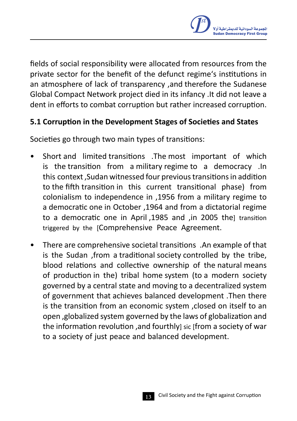

fields of social responsibility were allocated from resources from the private sector for the benefit of the defunct regime's institutions in an atmosphere of lack of transparency ,and therefore the Sudanese Global Compact Network project died in its infancy .It did not leave a dent in efforts to combat corruption but rather increased corruption.

### **5.1 Corruption in the Development Stages of Societies and States**

Societies go through two main types of transitions:

- Short and limited transitions .The most important of which is the transition from a military regime to a democracy .In this context ,Sudan witnessed four previoustransitionsin addition to the fifth transition in this current transitional phase) from colonialism to independence in ,1956 from a military regime to a democratic one in October ,1964 and from a dictatorial regime to a democratic one in April, 1985 and , in 2005 the transition triggered by the [Comprehensive Peace Agreement.
- There are comprehensive societal transitions .An example of that is the Sudan ,from a traditional society controlled by the tribe, blood relations and collective ownership of the natural means of production in the) tribal home system (to a modern society governed by a central state and moving to a decentralized system of government that achieves balanced development .Then there is the transition from an economic system ,closed on itself to an open ,globalized system governed by the laws of globalization and the information revolution, and fourthly] sic [from a society of war to a society of just peace and balanced development.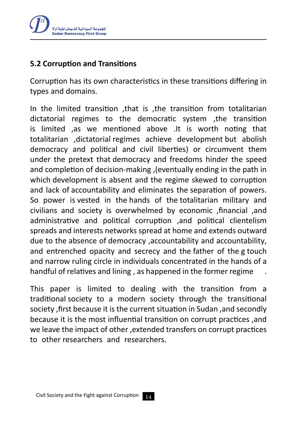

### **5.2 Corruption and Transitions**

Corruption has its own characteristics in these transitions differing in types and domains.

In the limited transition ,that is ,the transition from totalitarian dictatorial regimes to the democratic system ,the transition is limited ,as we mentioned above .It is worth noting that totalitarian ,dictatorial regimes achieve development but abolish democracy and political and civil liberties) or circumvent them under the pretext that democracy and freedoms hinder the speed and completion of decision-making, (eventually ending in the path in which development is absent and the regime skewed to corruption and lack of accountability and eliminates the separation of powers. So power is vested in the hands of the totalitarian military and civilians and society is overwhelmed by economic ,financial ,and administrative and political corruption ,and political clientelism spreads and interests networks spread at home and extends outward due to the absence of democracy ,accountability and accountability, and entrenched opacity and secrecy and the father of the g touch and narrow ruling circle in individuals concentrated in the hands of a handful of relatives and lining , as happened in the former regime .

This paper is limited to dealing with the transition from a traditional society to a modern society through the transitional society ,first because it is the current situation in Sudan ,and secondly because it is the most influential transition on corrupt practices ,and we leave the impact of other ,extended transfers on corrupt practices to other researchers and researchers.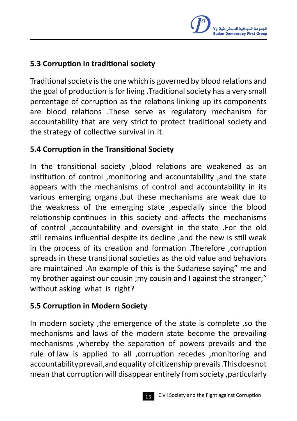

### **5.3 Corruption in traditional society**

Traditional society is the one which is governed by blood relations and the goal of production is for living .Traditional society has a very small percentage of corruption as the relations linking up its components are blood relations .These serve as regulatory mechanism for accountability that are very strict to protect traditional society and the strategy of collective survival in it.

#### **5.4 Corruption in the Transitional Society**

In the transitional society ,blood relations are weakened as an institution of control ,monitoring and accountability ,and the state appears with the mechanisms of control and accountability in its various emerging organs ,but these mechanisms are weak due to the weakness of the emerging state ,especially since the blood relationship continues in this society and affects the mechanisms of control ,accountability and oversight in the state .For the old still remains influential despite its decline ,and the new is still weak in the process of its creation and formation .Therefore ,corruption spreads in these transitional societies as the old value and behaviors are maintained .An example of this is the Sudanese saying" me and my brother against our cousin ;my cousin and I against the stranger;" without asking what is right?

### **5.5 Corruption in Modern Society**

In modern society ,the emergence of the state is complete ,so the mechanisms and laws of the modern state become the prevailing mechanisms ,whereby the separation of powers prevails and the rule of law is applied to all ,corruption recedes ,monitoring and accountabilityprevail ,andequality ofcitizenship prevails .Thisdoesnot mean that corruption will disappear entirely from society ,particularly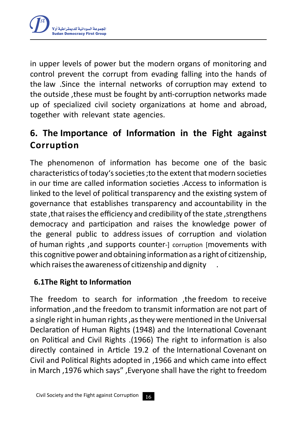

in upper levels of power but the modern organs of monitoring and control prevent the corrupt from evading falling into the hands of the law .Since the internal networks of corruption may extend to the outside ,these must be fought by anti-corruption networks made up of specialized civil society organizations at home and abroad, together with relevant state agencies.

# **6. The Importance of Information in the Fight against Corruption**

The phenomenon of information has become one of the basic characteristics of today's societies ; to the extent that modern societies in our time are called information societies .Access to information is linked to the level of political transparency and the existing system of governance that establishes transparency and accountability in the state, that raises the efficiency and credibility of the state, strengthens democracy and participation and raises the knowledge power of the general public to address issues of corruption and violation of human rights , and supports counter-1 corruption [movements with this cognitive power and obtaining information as a right of citizenship, which raises the awareness of citizenship and dignity

### **6.1The Right to Information**

The freedom to search for information ,the freedom to receive information ,and the freedom to transmit information are not part of a single right in human rights, as they were mentioned in the Universal Declaration of Human Rights (1948) and the International Covenant on Political and Civil Rights .)1966( The right to information is also directly contained in Article 19.2 of the International Covenant on Civil and Political Rights adopted in ,1966 and which came into effect in March ,1976 which says" ,Everyone shall have the right to freedom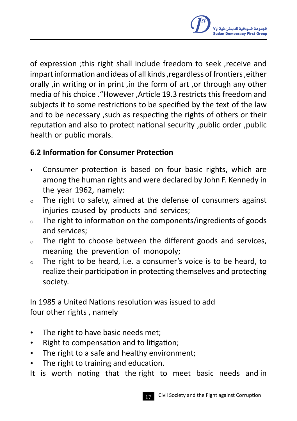

of expression ;this right shall include freedom to seek ,receive and impart information and ideas of all kinds, regardless of frontiers, either orally ,in writing or in print ,in the form of art ,or through any other media of his choice ."However ,Article 19.3 restricts this freedom and subjects it to some restrictions to be specified by the text of the law and to be necessary ,such as respecting the rights of others or their reputation and also to protect national security ,public order ,public health or public morals.

### **6.2 Information for Consumer Protection**

- Consumer protection is based on four basic rights, which are among the human rights and were declared by John F. Kennedy in the year 1962, namely:
- <sup>o</sup> The right to safety, aimed at the defense of consumers against injuries caused by products and services;
- <sup>o</sup> The right to information on the components/ingredients of goods and services;
- <sup>o</sup> The right to choose between the different goods and services, meaning the prevention of monopoly;
- <sup>o</sup> The right to be heard, i.e. a consumer's voice is to be heard, to realize their participation in protecting themselves and protecting society.

In 1985 a United Nations resolution was issued to add four other rights , namely

- · The right to have basic needs met;
- · Right to compensation and to litigation;
- · The right to a safe and healthy environment;
- · The right to training and education.
- It is worth noting that the right to meet basic needs and in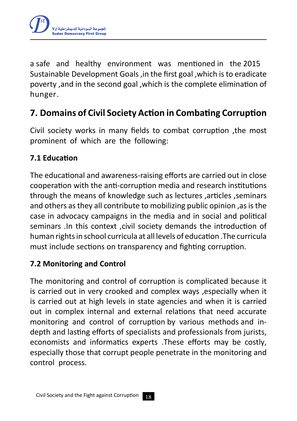

a safe and healthy environment was mentioned in the 2015 Sustainable Development Goals ,in the first goal ,which isto eradicate poverty ,and in the second goal ,which is the complete elimination of hunger.

# **7. Domains of Civil Society Action in Combating Corruption**

Civil society works in many fields to combat corruption ,the most prominent of which are the following:

### **7.1 Education**

The educational and awareness-raising efforts are carried out in close cooperation with the anti-corruption media and research institutions through the means of knowledge such as lectures ,articles ,seminars and others as they all contribute to mobilizing public opinion, as is the case in advocacy campaigns in the media and in social and political seminars .In this context ,civil society demands the introduction of human rightsin school curricula at all levels of education .The curricula must include sections on transparency and fighting corruption.

### **7.2 Monitoring and Control**

The monitoring and control of corruption is complicated because it is carried out in very crooked and complex ways ,especially when it is carried out at high levels in state agencies and when it is carried out in complex internal and external relations that need accurate monitoring and control of corruption by various methods and indepth and lasting efforts of specialists and professionals from jurists, economists and informatics experts .These efforts may be costly, especially those that corrupt people penetrate in the monitoring and control process.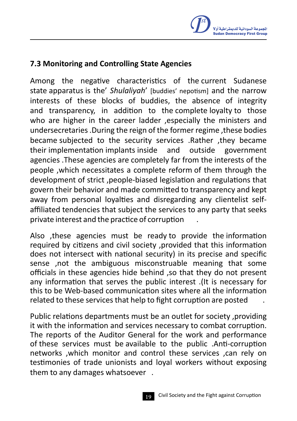

#### **7.3 Monitoring and Controlling State Agencies**

Among the negative characteristics of the current Sudanese state apparatus is the' *Shulaliyah*' [buddies' nepotism] and the narrow interests of these blocks of buddies, the absence of integrity and transparency, in addition to the complete loyalty to those who are higher in the career ladder , especially the ministers and undersecretaries .During the reign of the former regime ,these bodies became subjected to the security services .Rather ,they became their implementation implants inside and outside government agencies .These agencies are completely far from the interests of the people ,which necessitates a complete reform of them through the development of strict ,people-biased legislation and regulations that govern their behavior and made committed to transparency and kept away from personal loyalties and disregarding any clientelist selfaffiliated tendencies that subject the services to any party that seeks private interest and the practice of corruption .

Also ,these agencies must be ready to provide the information required by citizens and civil society ,provided that this information does not intersect with national security) in its precise and specific sense ,not the ambiguous misconstruable meaning that some officials in these agencies hide behind ,so that they do not present any information that serves the public interest .(It is necessary for this to be Web-based communication sites where all the information related to these services that help to fight corruption are posted

Public relations departments must be an outlet for society ,providing it with the information and services necessary to combat corruption. The reports of the Auditor General for the work and performance of these services must be available to the public .Anti-corruption networks ,which monitor and control these services ,can rely on testimonies of trade unionists and loyal workers without exposing them to any damages whatsoever .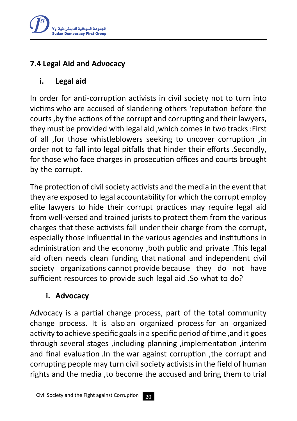

### **7.4 Legal Aid and Advocacy**

### **i. Legal aid**

In order for anti-corruption activists in civil society not to turn into victims who are accused of slandering others 'reputation before the courts ,by the actions of the corrupt and corrupting and their lawyers, they must be provided with legal aid ,which comes in two tracks :First of all ,for those whistleblowers seeking to uncover corruption ,in order not to fall into legal pitfalls that hinder their efforts .Secondly, for those who face charges in prosecution offices and courts brought by the corrupt.

The protection of civil society activists and the media in the event that they are exposed to legal accountability for which the corrupt employ elite lawyers to hide their corrupt practices may require legal aid from well-versed and trained jurists to protect them from the various charges that these activists fall under their charge from the corrupt, especially those influential in the various agencies and institutions in administration and the economy ,both public and private .This legal aid often needs clean funding that national and independent civil society organizations cannot provide because they do not have sufficient resources to provide such legal aid .So what to do?

### **i. Advocacy**

Advocacy is a partial change process, part of the total community change process. It is also an organized process for an organized activity to achieve specific goalsin a specific period of time ,and it goes through several stages ,including planning ,implementation ,interim and final evaluation .In the war against corruption ,the corrupt and corrupting people may turn civil society activistsin the field of human rights and the media ,to become the accused and bring them to trial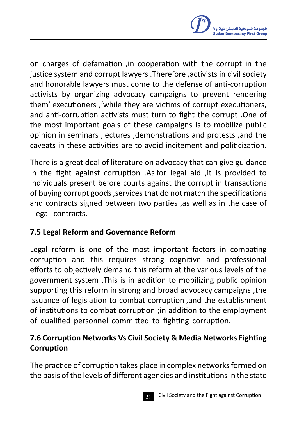

on charges of defamation ,in cooperation with the corrupt in the justice system and corrupt lawyers .Therefore ,activists in civil society and honorable lawyers must come to the defense of anti-corruption activists by organizing advocacy campaigns to prevent rendering them' executioners ,'while they are victims of corrupt executioners, and anti-corruption activists must turn to fight the corrupt .One of the most important goals of these campaigns is to mobilize public opinion in seminars ,lectures ,demonstrations and protests ,and the caveats in these activities are to avoid incitement and politicization.

There is a great deal of literature on advocacy that can give guidance in the fight against corruption .As for legal aid ,it is provided to individuals present before courts against the corrupt in transactions of buying corrupt goods ,servicesthat do not match the specifications and contracts signed between two parties ,as well as in the case of illegal contracts.

### **7.5 Legal Reform and Governance Reform**

Legal reform is one of the most important factors in combating corruption and this requires strong cognitive and professional efforts to objectively demand this reform at the various levels of the government system .This is in addition to mobilizing public opinion supporting this reform in strong and broad advocacy campaigns ,the issuance of legislation to combat corruption ,and the establishment of institutions to combat corruption ;in addition to the employment of qualified personnel committed to fighting corruption.

# **7.6 Corruption Networks Vs Civil Society & Media Networks Fighting Corruption**

The practice of corruption takes place in complex networks formed on the basis of the levels of different agencies and institutions in the state

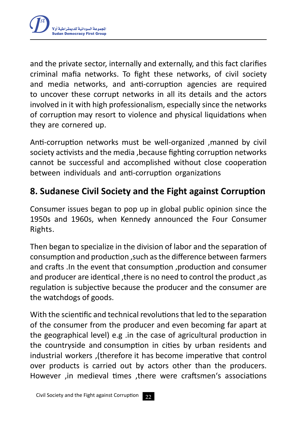

and the private sector, internally and externally, and this fact clarifies criminal mafia networks. To fight these networks, of civil society and media networks, and anti-corruption agencies are required to uncover these corrupt networks in all its details and the actors involved in it with high professionalism, especially since the networks of corruption may resort to violence and physical liquidations when they are cornered up.

Anti-corruption networks must be well-organized ,manned by civil society activists and the media ,because fighting corruption networks cannot be successful and accomplished without close cooperation between individuals and anti-corruption organizations

# **8. Sudanese Civil Society and the Fight against Corruption**

Consumer issues began to pop up in global public opinion since the 1950s and 1960s, when Kennedy announced the Four Consumer Rights.

Then began to specialize in the division of labor and the separation of consumption and production ,such asthe difference between farmers and crafts .In the event that consumption ,production and consumer and producer are identical ,there is no need to control the product ,as regulation is subjective because the producer and the consumer are the watchdogs of goods.

With the scientific and technical revolutions that led to the separation of the consumer from the producer and even becoming far apart at the geographical level) e.g .in the case of agricultural production in the countryside and consumption in cities by urban residents and industrial workers , (therefore it has become imperative that control over products is carried out by actors other than the producers. However ,in medieval times ,there were craftsmen's associations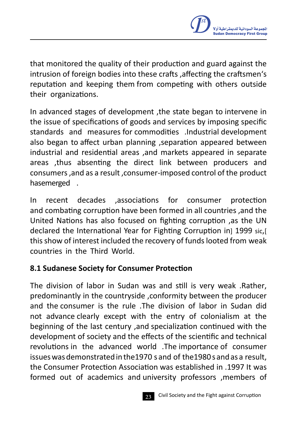

that monitored the quality of their production and guard against the intrusion of foreign bodies into these crafts ,affecting the craftsmen's reputation and keeping them from competing with others outside their organizations.

In advanced stages of development ,the state began to intervene in the issue of specifications of goods and services by imposing specific standards and measures for commodities .Industrial development also began to affect urban planning ,separation appeared between industrial and residential areas ,and markets appeared in separate areas ,thus absenting the direct link between producers and consumers ,and as a result ,consumer-imposed control of the product hasemerged .

In recent decades ,associations for consumer protection and combating corruption have been formed in all countries ,and the United Nations has also focused on fighting corruption ,as the UN declared the International Year for Fighting Corruption in 1999 sic.[ this show of interest included the recovery of funds looted from weak countries in the Third World.

#### **8.1 Sudanese Society for Consumer Protection**

The division of labor in Sudan was and still is very weak .Rather, predominantly in the countryside ,conformity between the producer and the consumer is the rule .The division of labor in Sudan did not advance clearly except with the entry of colonialism at the beginning of the last century ,and specialization continued with the development of society and the effects of the scientific and technical revolutions in the advanced world .The importance of consumer issues was demonstrated in the 1970 s and of the 1980s and as a result, the Consumer Protection Association was established in .1997 It was formed out of academics and university professors ,members of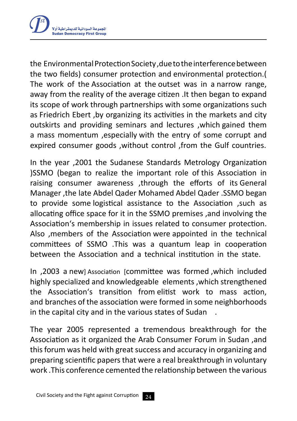

the EnvironmentalProtectionSociety ,duetotheinterferencebetween the two fields) consumer protection and environmental protection.( The work of the Association at the outset was in a narrow range, away from the reality of the average citizen .It then began to expand its scope of work through partnerships with some organizations such as Friedrich Ebert ,by organizing its activities in the markets and city outskirts and providing seminars and lectures ,which gained them a mass momentum ,especially with the entry of some corrupt and expired consumer goods ,without control ,from the Gulf countries.

In the year ,2001 the Sudanese Standards Metrology Organization )SSMO (began to realize the important role of this Association in raising consumer awareness ,through the efforts of its General Manager ,the late Abdel Qader Mohamed Abdel Qader .SSMO began to provide some logistical assistance to the Association ,such as allocating office space for it in the SSMO premises ,and involving the Association's membership in issues related to consumer protection. Also ,members of the Association were appointed in the technical committees of SSMO .This was a quantum leap in cooperation between the Association and a technical institution in the state.

In ,2003 a new] Association [committee was formed ,which included highly specialized and knowledgeable elements ,which strengthened the Association's transition from elitist work to mass action, and branches of the association were formed in some neighborhoods in the capital city and in the various states of Sudan .

The year 2005 represented a tremendous breakthrough for the Association as it organized the Arab Consumer Forum in Sudan ,and this forum was held with great success and accuracy in organizing and preparing scientific papers that were a real breakthrough in voluntary work .This conference cemented the relationship between the various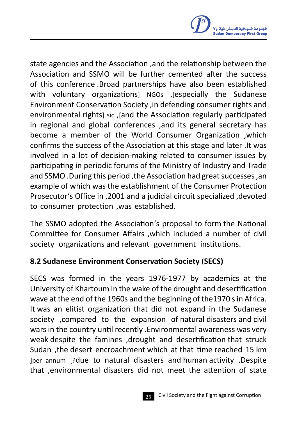

state agencies and the Association ,and the relationship between the Association and SSMO will be further cemented after the success of this conference .Broad partnerships have also been established with voluntary organizations] NGOs , Jespecially the Sudanese Environment Conservation Society ,in defending consumer rights and environmental rights] sic , and the Association regularly participated in regional and global conferences ,and its general secretary has become a member of the World Consumer Organization ,which confirms the success of the Association at this stage and later .It was involved in a lot of decision-making related to consumer issues by participating in periodic forums of the Ministry of Industry and Trade and SSMO. During this period, the Association had great successes, an example of which was the establishment of the Consumer Protection Prosecutor's Office in ,2001 and a judicial circuit specialized ,devoted to consumer protection ,was established.

The SSMO adopted the Association's proposal to form the National Committee for Consumer Affairs ,which included a number of civil society organizations and relevant government institutions.

### **8.2 Sudanese Environment Conservation Society** (**SECS)**

SECS was formed in the years 1976-1977 by academics at the University of Khartoum in the wake of the drought and desertification wave at the end of the 1960s and the beginning of the1970 sin Africa. It was an elitist organization that did not expand in the Sudanese society ,compared to the expansion of natural disasters and civil wars in the country until recently .Environmental awareness was very weak despite the famines ,drought and desertification that struck Sudan ,the desert encroachment which at that time reached 15 km [per annum ]?due to natural disasters and human activity .Despite that ,environmental disasters did not meet the attention of state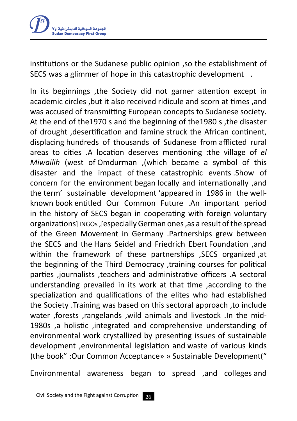

institutions or the Sudanese public opinion ,so the establishment of SECS was a glimmer of hope in this catastrophic development .

In its beginnings ,the Society did not garner attention except in academic circles ,but it also received ridicule and scorn at times ,and was accused of transmitting European concepts to Sudanese society. At the end of the1970 s and the beginning of the1980 s ,the disaster of drought ,desertification and famine struck the African continent, displacing hundreds of thousands of Sudanese from afflicted rural areas to cities .A location deserves mentioning :the village of *el Miwailih* (west of Omdurman, (which became a symbol of this disaster and the impact of these catastrophic events .Show of concern for the environment began locally and internationally ,and the term' sustainable development 'appeared in 1986 in the wellknown book entitled Our Common Future .An important period in the history of SECS began in cooperating with foreign voluntary organizations] INGOs, Jespecially German ones, as a result of the spread of the Green Movement in Germany .Partnerships grew between the SECS and the Hans Seidel and Friedrich Ebert Foundation ,and within the framework of these partnerships ,SECS organized ,at the beginning of the Third Democracy ,training courses for political parties ,journalists ,teachers and administrative officers .A sectoral understanding prevailed in its work at that time ,according to the specialization and qualifications of the elites who had established the Society .Training was based on this sectoral approach ,to include water ,forests ,rangelands ,wild animals and livestock .In the mid-1980s ,a holistic ,integrated and comprehensive understanding of environmental work crystallized by presenting issues of sustainable development ,environmental legislation and waste of various kinds )the book" :Our Common Acceptance» » Sustainable Development("

Environmental awareness began to spread ,and colleges and

26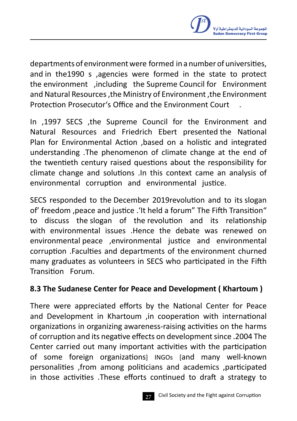

departments of environmentwere formed in a number of universities, and in the1990 s ,agencies were formed in the state to protect the environment ,including the Supreme Council for Environment and Natural Resources ,the Ministry of Environment ,the Environment Protection Prosecutor's Office and the Environment Court .

In ,1997 SECS ,the Supreme Council for the Environment and Natural Resources and Friedrich Ebert presented the National Plan for Environmental Action ,based on a holistic and integrated understanding .The phenomenon of climate change at the end of the twentieth century raised questions about the responsibility for climate change and solutions .In this context came an analysis of environmental corruption and environmental justice.

SECS responded to the December 2019revolution and to its slogan of' freedom ,peace and justice .'It held a forum" The Fifth Transition" to discuss the slogan of the revolution and its relationship with environmental issues .Hence the debate was renewed on environmental peace ,environmental justice and environmental corruption .Faculties and departments of the environment churned many graduates as volunteers in SECS who participated in the Fifth Transition Forum.

### **8.3 The Sudanese Center for Peace and Development ) Khartoum (**

There were appreciated efforts by the National Center for Peace and Development in Khartoum ,in cooperation with international organizations in organizing awareness-raising activities on the harms of corruption and its negative effects on developmentsince .2004 The Center carried out many important activities with the participation of some foreign organizations] INGOs [and many well-known personalities ,from among politicians and academics ,participated in those activities .These efforts continued to draft a strategy to

Civil Society and the Fight against Corruption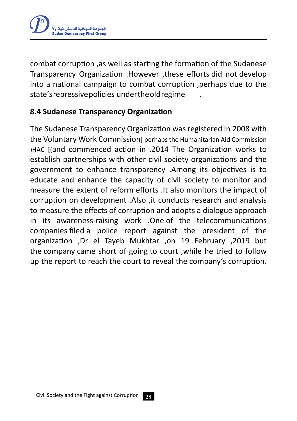

combat corruption ,as well as starting the formation of the Sudanese Transparency Organization .However ,these efforts did not develop into a national campaign to combat corruption ,perhaps due to the state'srepressivepolicies undertheoldregime .

### **8.4 Sudanese Transparency Organization**

The Sudanese Transparency Organization was registered in 2008 with the Voluntary Work Commission berhaps the Humanitarian Aid Commission )HAC [(and commenced action in .2014 The Organization works to establish partnerships with other civil society organizations and the government to enhance transparency .Among its objectives is to educate and enhance the capacity of civil society to monitor and measure the extent of reform efforts .It also monitors the impact of corruption on development .Also ,it conducts research and analysis to measure the effects of corruption and adopts a dialogue approach in its awareness-raising work .One of the telecommunications companies filed a police report against the president of the organization ,Dr el Tayeb Mukhtar ,on 19 February ,2019 but the company came short of going to court ,while he tried to follow up the report to reach the court to reveal the company's corruption.

28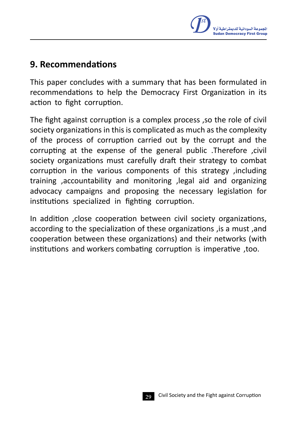

# **9. Recommendations**

This paper concludes with a summary that has been formulated in recommendations to help the Democracy First Organization in its action to fight corruption.

The fight against corruption is a complex process ,so the role of civil society organizations in this is complicated as much as the complexity of the process of corruption carried out by the corrupt and the corrupting at the expense of the general public .Therefore ,civil society organizations must carefully draft their strategy to combat corruption in the various components of this strategy ,including training ,accountability and monitoring ,legal aid and organizing advocacy campaigns and proposing the necessary legislation for institutions specialized in fighting corruption.

In addition ,close cooperation between civil society organizations, according to the specialization of these organizations ,is a must ,and cooperation between these organizations) and their networks (with institutions and workers combating corruption is imperative ,too.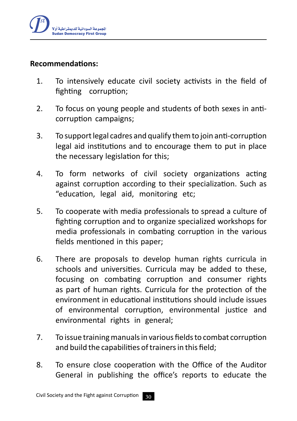

#### **Recommendations:**

- 1. To intensively educate civil society activists in the field of fighting corruption;
- 2. To focus on young people and students of both sexes in anticorruption campaigns;
- 3. To support legal cadres and qualify them to join anti-corruption legal aid institutions and to encourage them to put in place the necessary legislation for this;
- 4. To form networks of civil society organizations acting against corruption according to their specialization. Such as "education, legal aid, monitoring etc;
- 5. To cooperate with media professionals to spread a culture of fighting corruption and to organize specialized workshops for media professionals in combating corruption in the various fields mentioned in this paper;
- 6. There are proposals to develop human rights curricula in schools and universities. Curricula may be added to these, focusing on combating corruption and consumer rights as part of human rights. Curricula for the protection of the environment in educational institutions should include issues of environmental corruption, environmental justice and environmental rights in general;
- 7. To issue training manuals in various fields to combat corruption and build the capabilities of trainers in this field;
- 8. To ensure close cooperation with the Office of the Auditor General in publishing the office's reports to educate the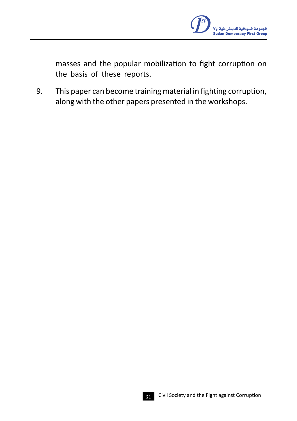

masses and the popular mobilization to fight corruption on the basis of these reports.

9. This paper can become training material in fighting corruption, along with the other papers presented in the workshops.

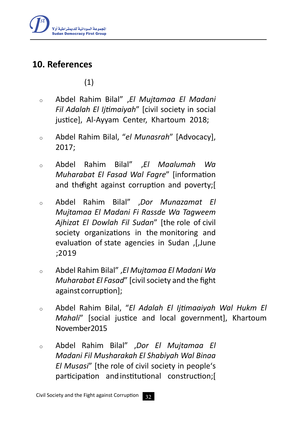

# **10. References**

(1)

- <sup>o</sup> Abdel Rahim Bilal" ,*El Mujtamaa El Madani Fil Adalah El Ijtimaiyah*" [civil society in social justice], Al-Ayyam Center, Khartoum 2018;
- <sup>o</sup> Abdel Rahim Bilal, "*el Munasrah*" [Advocacy], 2017;
- <sup>o</sup> Abdel Rahim Bilal" ,*El Maalumah Wa Muharabat El Fasad Wal Fagre*" [information and the fight against corruption and poverty;
- <sup>o</sup> Abdel Rahim Bilal" ,*Dor Munazamat El Mujtamaa El Madani Fi Rassde Wa Tagweem Ajhizat El Dowlah Fil Sudan*" [the role of civil society organizations in the monitoring and evaluation of state agencies in Sudan , June ;2019
- <sup>o</sup> Abdel Rahim Bilal" ,*El Mujtamaa El Madani Wa Muharabat El Fasad*" [civil society and the fight against corruption];
- <sup>o</sup> Abdel Rahim Bilal, "*El Adalah El Ijtimaaiyah Wal Hukm El Mahali*" [social justice and local government], Khartoum November 2015
- <sup>o</sup> Abdel Rahim Bilal" ,*Dor El Mujtamaa El Madani Fil Musharakah El Shabiyah Wal Binaa El Musasi*" [the role of civil society in people's participation andinstitutional construction;]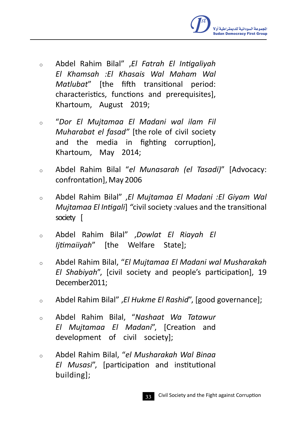

- <sup>o</sup> Abdel Rahim Bilal" ,*El Fatrah El Intigaliyah El Khamsah :El Khasais Wal Maham Wal Matlubat*" [the fifth transitional period: characteristics, functions and prerequisites], Khartoum, August 2019;
- <sup>o</sup> "*Dor El Mujtamaa El Madani wal ilam Fil Muharabat el fasad"* [the role of civil society and the media in fighting corruption], Khartoum, May 2014;
- <sup>o</sup> Abdel Rahim Bilal "*el Munasarah (el Tasadi)*" [Advocacy: confrontation], May 2006
- <sup>o</sup> Abdel Rahim Bilal" ,*El Mujtamaa El Madani :El Giyam Wal Mujtamaa El Intigali*[ *"*civil society :values and the transitional society [
- <sup>o</sup> Abdel Rahim Bilal" ,*Dowlat El Riayah El Ijtimaiiyah*" [the Welfare State];
- <sup>o</sup> Abdel Rahim Bilal, "*El Mujtamaa El Madani wal Musharakah El Shabiyah*", [civil society and people's participation], 19 December 2011:
- <sup>o</sup> Abdel Rahim Bilal" ,*El Hukme El Rashid*", [good governance];
- <sup>o</sup> Abdel Rahim Bilal, "*Nashaat Wa Tatawur El Mujtamaa El Madani*", [Creation and development of civil society];
- <sup>o</sup> Abdel Rahim Bilal, "*el Musharakah Wal Binaa El Musasi*", [participation and institutional building];